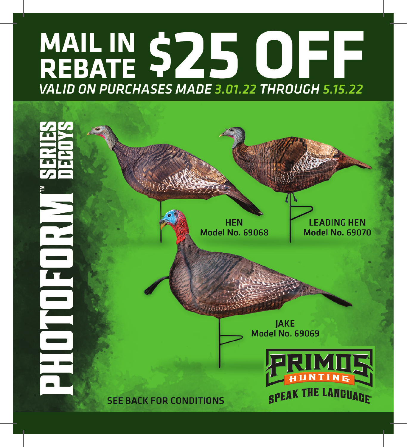## MAIL IN \$25 OFF VALID ON PURCHASES MADE 3.01.22 THROUGH 5.15.22